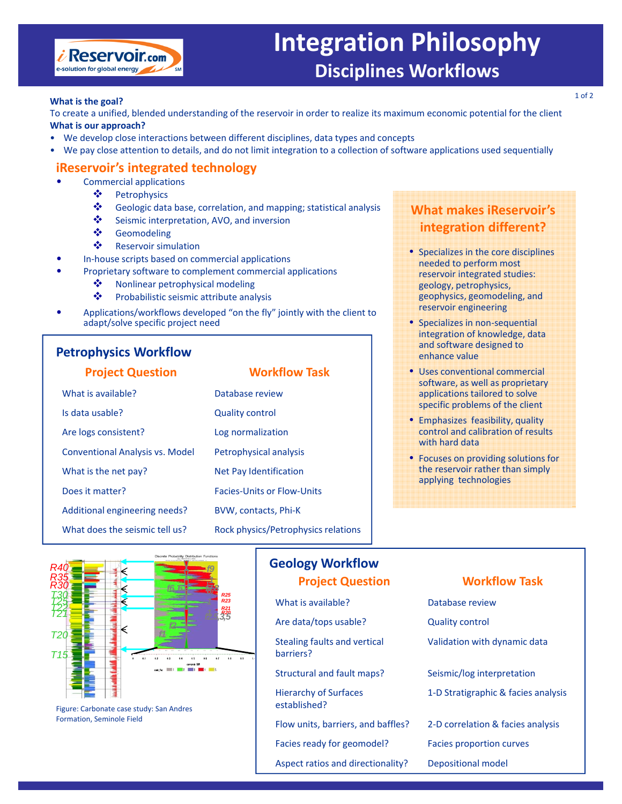

# **Integration Philosophy Disciplines Workflows**

### **What is the goal?**

To create a unified, blended understanding of the reservoir in order to realize its maximum economic potential for the client **What is our approach?**

- We develop close interactions between different disciplines, data types and concepts
- We pay close attention to details, and do not limit integration to a collection of software applications used sequentially

## **iReservoir's integrated technology**

- Commercial applications
	- ❖ Petrophysics
	- Geologic data base, correlation, and mapping; statistical analysis
	- Seismic interpretation, AVO, and inversion
	- Geomodeling
	- **❖** Reservoir simulation
- In-house scripts based on commercial applications
- Proprietary software to complement commercial applications
	- ◆ Nonlinear petrophysical modeling
	- $\mathbf{\hat{P}}$  Probabilistic seismic attribute analysis
- Applications/workflows developed "on the fly" jointly with the client to adapt/solve specific project need

## **Petrophysics Workflow**

| <b>Project Question</b>                | <b>Workflow Task</b>                |
|----------------------------------------|-------------------------------------|
| What is available?                     | Database review                     |
| Is data usable?                        | <b>Quality control</b>              |
| Are logs consistent?                   | Log normalization                   |
| <b>Conventional Analysis vs. Model</b> | Petrophysical analysis              |
| What is the net pay?                   | Net Pay Identification              |
| Does it matter?                        | <b>Facies-Units or Flow-Units</b>   |
| Additional engineering needs?          | BVW, contacts, Phi-K                |
| What does the seismic tell us?         | Rock physics/Petrophysics relations |

## **What makes iReservoir's integration different?**

- Specializes in the core disciplines needed to perform most reservoir integrated studies: geology, petrophysics, geophysics, geomodeling, and reservoir engineering
- Specializes in non-sequential integration of knowledge, data and software designed to enhance value
- Uses conventional commercial software, as well as proprietary applications tailored to solve specific problems of the client
- Emphasizes feasibility, quality control and calibration of results with hard data
- Focuses on providing solutions for the reservoir rather than simply applying technologies



Figure: Carbonate case study: San Andres Formation, Seminole Field

## **Geology Workflow Project Question Workflow Task**

- What is available? The Controllectual Database review
- Are data/tops usable? Quality control
- Stealing faults and vertical barriers?
- 
- Hierarchy of Surfaces established?
- Flow units, barriers, and baffles? 2-D correlation & facies analysis
- Facies ready for geomodel? Facies proportion curves
- Aspect ratios and directionality? Depositional model

- 
- Validation with dynamic data

Structural and fault maps? Seismic/log interpretation

- 1‐D Stratigraphic & facies analysis
- 
- 
-